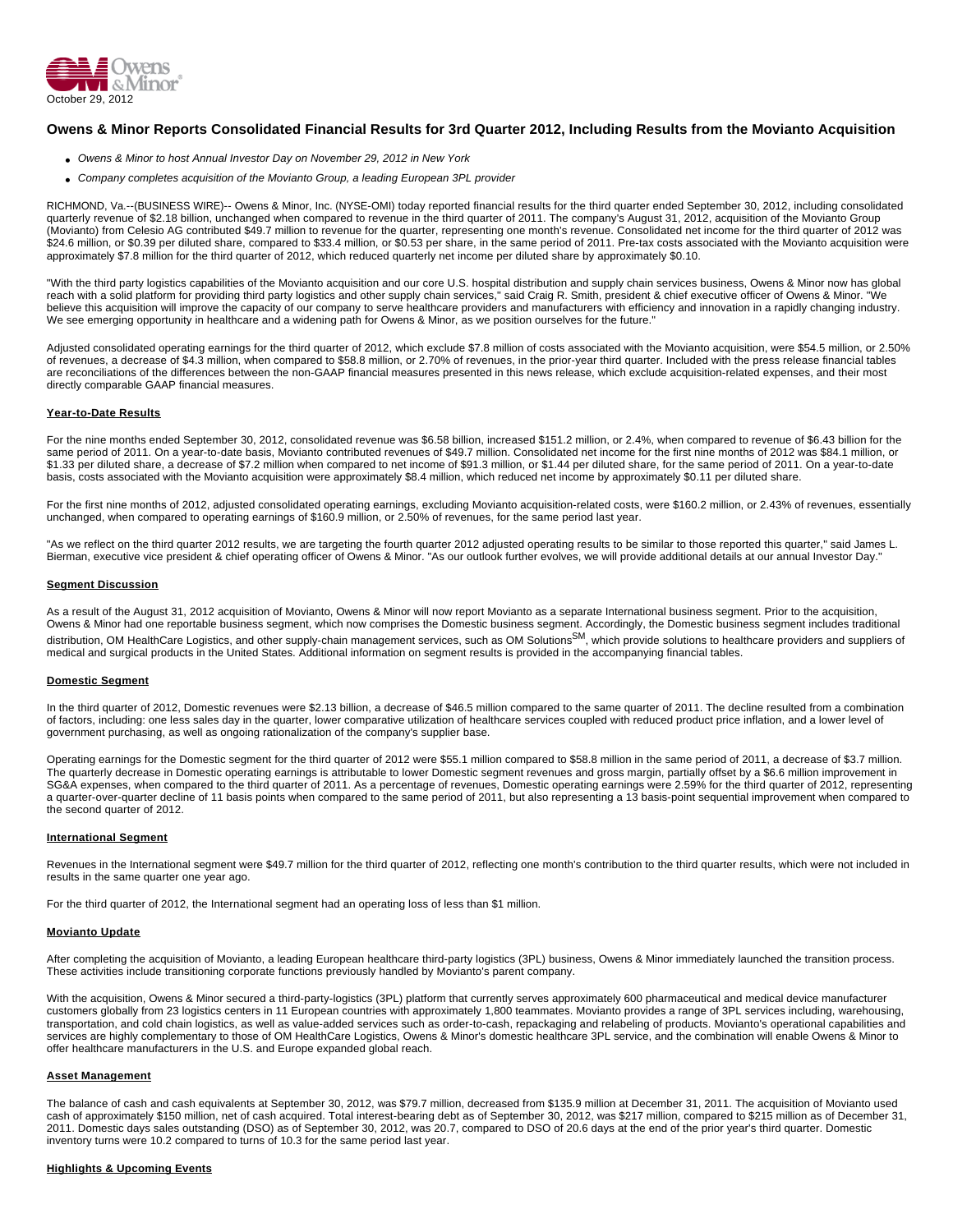

# **Owens & Minor Reports Consolidated Financial Results for 3rd Quarter 2012, Including Results from the Movianto Acquisition**

- Owens & Minor to host Annual Investor Day on November 29, 2012 in New York
- Company completes acquisition of the Movianto Group, a leading European 3PL provider

RICHMOND, Va.--(BUSINESS WIRE)-- Owens & Minor, Inc. (NYSE-OMI) today reported financial results for the third quarter ended September 30, 2012, including consolidated quarterly revenue of \$2.18 billion, unchanged when compared to revenue in the third quarter of 2011. The company's August 31, 2012, acquisition of the Movianto Group (Movianto) from Celesio AG contributed \$49.7 million to revenue for the quarter, representing one month's revenue. Consolidated net income for the third quarter of 2012 was \$24.6 million, or \$0.39 per diluted share, compared to \$33.4 million, or \$0.53 per share, in the same period of 2011. Pre-tax costs associated with the Movianto acquisition were approximately \$7.8 million for the third quarter of 2012, which reduced quarterly net income per diluted share by approximately \$0.10.

"With the third party logistics capabilities of the Movianto acquisition and our core U.S. hospital distribution and supply chain services business, Owens & Minor now has global reach with a solid platform for providing third party logistics and other supply chain services," said Craig R. Smith, president & chief executive officer of Owens & Minor. "We believe this acquisition will improve the capacity of our company to serve healthcare providers and manufacturers with efficiency and innovation in a rapidly changing industry. We see emerging opportunity in healthcare and a widening path for Owens & Minor, as we position ourselves for the future."

Adjusted consolidated operating earnings for the third quarter of 2012, which exclude \$7.8 million of costs associated with the Movianto acquisition, were \$54.5 million, or 2.50% of revenues, a decrease of \$4.3 million, when compared to \$58.8 million, or 2.70% of revenues, in the prior-year third quarter. Included with the press release financial tables are reconciliations of the differences between the non-GAAP financial measures presented in this news release, which exclude acquisition-related expenses, and their most directly comparable GAAP financial measures.

#### **Year-to-Date Results**

For the nine months ended September 30, 2012, consolidated revenue was \$6.58 billion, increased \$151.2 million, or 2.4%, when compared to revenue of \$6.43 billion for the same period of 2011. On a year-to-date basis, Movianto contributed revenues of \$49.7 million. Consolidated net income for the first nine months of 2012 was \$84.1 million, or \$1.33 per diluted share, a decrease of \$7.2 million when compared to net income of \$91.3 million, or \$1.44 per diluted share, for the same period of 2011. On a year-to-date basis, costs associated with the Movianto acquisition were approximately \$8.4 million, which reduced net income by approximately \$0.11 per diluted share.

For the first nine months of 2012, adjusted consolidated operating earnings, excluding Movianto acquisition-related costs, were \$160.2 million, or 2.43% of revenues, essentially unchanged, when compared to operating earnings of \$160.9 million, or 2.50% of revenues, for the same period last year.

"As we reflect on the third quarter 2012 results, we are targeting the fourth quarter 2012 adjusted operating results to be similar to those reported this quarter," said James L. Bierman, executive vice president & chief operating officer of Owens & Minor. "As our outlook further evolves, we will provide additional details at our annual Investor Day."

#### **Segment Discussion**

As a result of the August 31, 2012 acquisition of Movianto, Owens & Minor will now report Movianto as a separate International business segment. Prior to the acquisition, Owens & Minor had one reportable business segment, which now comprises the Domestic business segment. Accordingly, the Domestic business segment includes traditional distribution, OM HealthCare Logistics, and other supply-chain management services, such as OM Solutions<sup>SM</sup>, which provide solutions to healthcare providers and suppliers of medical and surgical products in the United States. Additional information on segment results is provided in the accompanying financial tables.

#### **Domestic Segment**

In the third quarter of 2012, Domestic revenues were \$2.13 billion, a decrease of \$46.5 million compared to the same quarter of 2011. The decline resulted from a combination of factors, including: one less sales day in the quarter, lower comparative utilization of healthcare services coupled with reduced product price inflation, and a lower level of government purchasing, as well as ongoing rationalization of the company's supplier base.

Operating earnings for the Domestic segment for the third quarter of 2012 were \$55.1 million compared to \$58.8 million in the same period of 2011, a decrease of \$3.7 million. The quarterly decrease in Domestic operating earnings is attributable to lower Domestic segment revenues and gross margin, partially offset by a \$6.6 million improvement in SG&A expenses, when compared to the third quarter of 2011. As a percentage of revenues, Domestic operating earnings were 2.59% for the third quarter of 2012, representing a quarter-over-quarter decline of 11 basis points when compared to the same period of 2011, but also representing a 13 basis-point sequential improvement when compared to the second quarter of 2012.

#### **International Segment**

Revenues in the International segment were \$49.7 million for the third quarter of 2012, reflecting one month's contribution to the third quarter results, which were not included in results in the same quarter one year ago.

For the third quarter of 2012, the International segment had an operating loss of less than \$1 million.

#### **Movianto Update**

After completing the acquisition of Movianto, a leading European healthcare third-party logistics (3PL) business, Owens & Minor immediately launched the transition process. These activities include transitioning corporate functions previously handled by Movianto's parent company.

With the acquisition, Owens & Minor secured a third-party-logistics (3PL) platform that currently serves approximately 600 pharmaceutical and medical device manufacturer customers globally from 23 logistics centers in 11 European countries with approximately 1,800 teammates. Movianto provides a range of 3PL services including, warehousing, transportation, and cold chain logistics, as well as value-added services such as order-to-cash, repackaging and relabeling of products. Movianto's operational capabilities and services are highly complementary to those of OM HealthCare Logistics, Owens & Minor's domestic healthcare 3PL service, and the combination will enable Owens & Minor to offer healthcare manufacturers in the U.S. and Europe expanded global reach.

## **Asset Management**

The balance of cash and cash equivalents at September 30, 2012, was \$79.7 million, decreased from \$135.9 million at December 31, 2011. The acquisition of Movianto used cash of approximately \$150 million, net of cash acquired. Total interest-bearing debt as of September 30, 2012, was \$217 million, compared to \$215 million as of December 31, 2011. Domestic days sales outstanding (DSO) as of September 30, 2012, was 20.7, compared to DSO of 20.6 days at the end of the prior year's third quarter. Domestic inventory turns were 10.2 compared to turns of 10.3 for the same period last year.

#### **Highlights & Upcoming Events**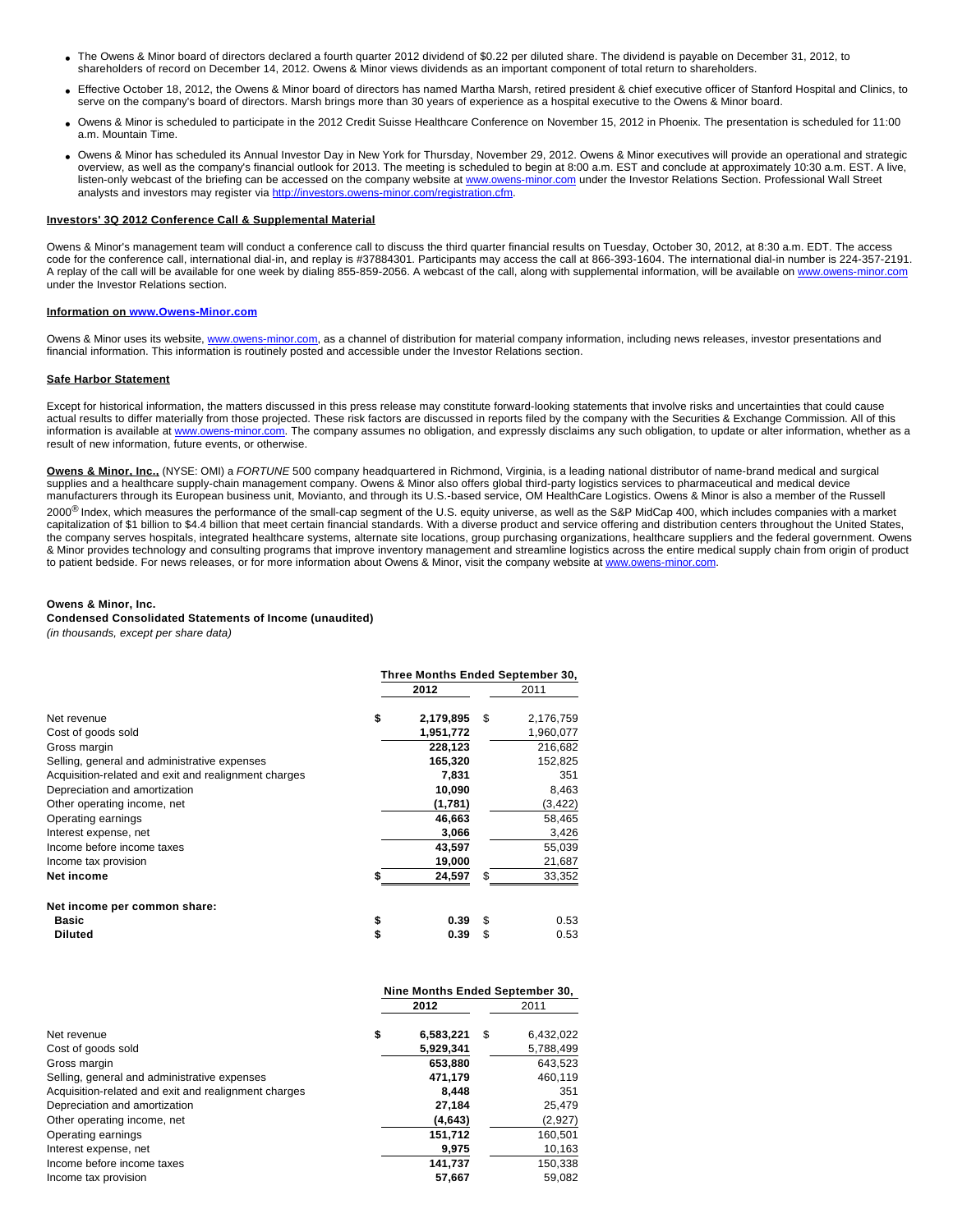- The Owens & Minor board of directors declared a fourth quarter 2012 dividend of \$0.22 per diluted share. The dividend is payable on December 31, 2012, to shareholders of record on December 14, 2012. Owens & Minor views dividends as an important component of total return to shareholders.
- Effective October 18, 2012, the Owens & Minor board of directors has named Martha Marsh, retired president & chief executive officer of Stanford Hospital and Clinics, to serve on the company's board of directors. Marsh brings more than 30 years of experience as a hospital executive to the Owens & Minor board.
- Owens & Minor is scheduled to participate in the 2012 Credit Suisse Healthcare Conference on November 15, 2012 in Phoenix. The presentation is scheduled for 11:00 a.m. Mountain Time.
- Owens & Minor has scheduled its Annual Investor Day in New York for Thursday, November 29, 2012. Owens & Minor executives will provide an operational and strategic overview, as well as the company's financial outlook for 2013. The meeting is scheduled to begin at 8:00 a.m. EST and conclude at approximately 10:30 a.m. EST. A live, listen-only webcast of the briefing can be accessed on the company website at [www.owens-minor.com](http://cts.businesswire.com/ct/CT?id=smartlink&url=http%3A%2F%2Fwww.owens-minor.com&esheet=50458227&lan=en-US&anchor=www.owens-minor.com&index=1&md5=5a92d74db3bcc9595fa3178fa29a2ea6) under the Investor Relations Section. Professional Wall Street analysts and investors may register via [http://investors.owens-minor.com/registration.cfm.](http://cts.businesswire.com/ct/CT?id=smartlink&url=http%3A%2F%2Finvestors.owens-minor.com%2Fregistration.cfm&esheet=50458227&lan=en-US&anchor=http%3A%2F%2Finvestors.owens-minor.com%2Fregistration.cfm&index=2&md5=b54c8f96776bb6f9a60ce392e111def4)

#### **Investors' 3Q 2012 Conference Call & Supplemental Material**

Owens & Minor's management team will conduct a conference call to discuss the third quarter financial results on Tuesday, October 30, 2012, at 8:30 a.m. EDT. The access code for the conference call, international dial-in, and replay is #37884301. Participants may access the call at 866-393-1604. The international dial-in number is 224-357-2191. A replay of the call will be available for one week by dialing 855-859-2056. A webcast of the call, along with supplemental information, will be available on [www.owens-minor.com](http://cts.businesswire.com/ct/CT?id=smartlink&url=http%3A%2F%2Fwww.owens-minor.com&esheet=50458227&lan=en-US&anchor=www.owens-minor.com&index=3&md5=7c1f23b1fc0d5ab851a07aa576c0b387) under the Investor Relations section.

#### **Information on [www.Owens-Minor.com](http://cts.businesswire.com/ct/CT?id=smartlink&url=http%3A%2F%2Fwww.Owens-Minor.com&esheet=50458227&lan=en-US&anchor=www.Owens-Minor.com&index=4&md5=1be3df69971312213860ef2160c0522d)**

Owens & Minor uses its website, [www.owens-minor.com](http://cts.businesswire.com/ct/CT?id=smartlink&url=http%3A%2F%2Fwww.owens-minor.com&esheet=50458227&lan=en-US&anchor=www.owens-minor.com&index=5&md5=34d21d26526d09df6534361afcfabc21), as a channel of distribution for material company information, including news releases, investor presentations and financial information. This information is routinely posted and accessible under the Investor Relations section.

#### **Safe Harbor Statement**

Except for historical information, the matters discussed in this press release may constitute forward-looking statements that involve risks and uncertainties that could cause actual results to differ materially from those projected. These risk factors are discussed in reports filed by the company with the Securities & Exchange Commission. All of this information is available at [www.owens-minor.com](http://cts.businesswire.com/ct/CT?id=smartlink&url=http%3A%2F%2Fwww.owens-minor.com&esheet=50458227&lan=en-US&anchor=www.owens-minor.com&index=6&md5=3259212e6ba2bf5d0d57156e5dec5c80). The company assumes no obligation, and expressly disclaims any such obligation, to update or alter information, whether as a result of new information, future events, or otherwise.

**Owens & Minor, Inc.,** (NYSE: OMI) a FORTUNE 500 company headquartered in Richmond, Virginia, is a leading national distributor of name-brand medical and surgical supplies and a healthcare supply-chain management company. Owens & Minor also offers global third-party logistics services to pharmaceutical and medical device manufacturers through its European business unit, Movianto, and through its U.S.-based service, OM HealthCare Logistics. Owens & Minor is also a member of the Russell 2000<sup>®</sup> Index, which measures the performance of the small-cap segment of the U.S. equity universe, as well as the S&P MidCap 400, which includes companies with a market capitalization of \$1 billion to \$4.4 billion that meet certain financial standards. With a diverse product and service offering and distribution centers throughout the United States, the company serves hospitals, integrated healthcare systems, alternate site locations, group purchasing organizations, healthcare suppliers and the federal government. Owens & Minor provides technology and consulting programs that improve inventory management and streamline logistics across the entire medical supply chain from origin of product to patient bedside. For news releases, or for more information about Owens & Minor, visit the company website at [www.owens-minor.com](http://cts.businesswire.com/ct/CT?id=smartlink&url=http%3A%2F%2Fwww.owens-minor.com&esheet=50458227&lan=en-US&anchor=www.owens-minor.com&index=7&md5=f07cda5d17fac894f2a2d6e884738376).

### **Owens & Minor, Inc.**

#### **Condensed Consolidated Statements of Income (unaudited)**

(in thousands, except per share data)

|                                                      | Three Months Ended September 30, |           |     |           |  |  |  |
|------------------------------------------------------|----------------------------------|-----------|-----|-----------|--|--|--|
|                                                      |                                  | 2012      |     | 2011      |  |  |  |
| Net revenue                                          | \$                               | 2,179,895 | \$. | 2,176,759 |  |  |  |
| Cost of goods sold                                   |                                  | 1,951,772 |     | 1,960,077 |  |  |  |
| Gross margin                                         |                                  | 228,123   |     | 216,682   |  |  |  |
| Selling, general and administrative expenses         |                                  | 165,320   |     | 152,825   |  |  |  |
| Acquisition-related and exit and realignment charges |                                  | 7,831     |     | 351       |  |  |  |
| Depreciation and amortization                        |                                  | 10,090    |     | 8,463     |  |  |  |
| Other operating income, net                          |                                  | (1,781)   |     | (3, 422)  |  |  |  |
| Operating earnings                                   |                                  | 46,663    |     | 58,465    |  |  |  |
| Interest expense, net                                |                                  | 3,066     |     | 3,426     |  |  |  |
| Income before income taxes                           |                                  | 43,597    |     | 55,039    |  |  |  |
| Income tax provision                                 |                                  | 19,000    |     | 21,687    |  |  |  |
| Net income                                           |                                  | 24,597    |     | 33,352    |  |  |  |
| Net income per common share:                         |                                  |           |     |           |  |  |  |
| <b>Basic</b>                                         | \$                               | 0.39      | \$. | 0.53      |  |  |  |
| <b>Diluted</b>                                       | \$                               | 0.39      |     | 0.53      |  |  |  |

|                                                      | Nine Months Ended September 30, |           |   |           |  |  |
|------------------------------------------------------|---------------------------------|-----------|---|-----------|--|--|
|                                                      | 2012                            |           |   | 2011      |  |  |
| Net revenue                                          | \$                              | 6,583,221 | S | 6,432,022 |  |  |
| Cost of goods sold                                   |                                 | 5.929.341 |   | 5,788,499 |  |  |
| Gross margin                                         |                                 | 653,880   |   | 643,523   |  |  |
| Selling, general and administrative expenses         |                                 | 471,179   |   | 460,119   |  |  |
| Acquisition-related and exit and realignment charges |                                 | 8.448     |   | 351       |  |  |
| Depreciation and amortization                        |                                 | 27,184    |   | 25,479    |  |  |
| Other operating income, net                          |                                 | (4, 643)  |   | (2,927)   |  |  |
| Operating earnings                                   |                                 | 151,712   |   | 160,501   |  |  |
| Interest expense, net                                |                                 | 9,975     |   | 10,163    |  |  |
| Income before income taxes                           |                                 | 141,737   |   | 150,338   |  |  |
| Income tax provision                                 |                                 | 57,667    |   | 59,082    |  |  |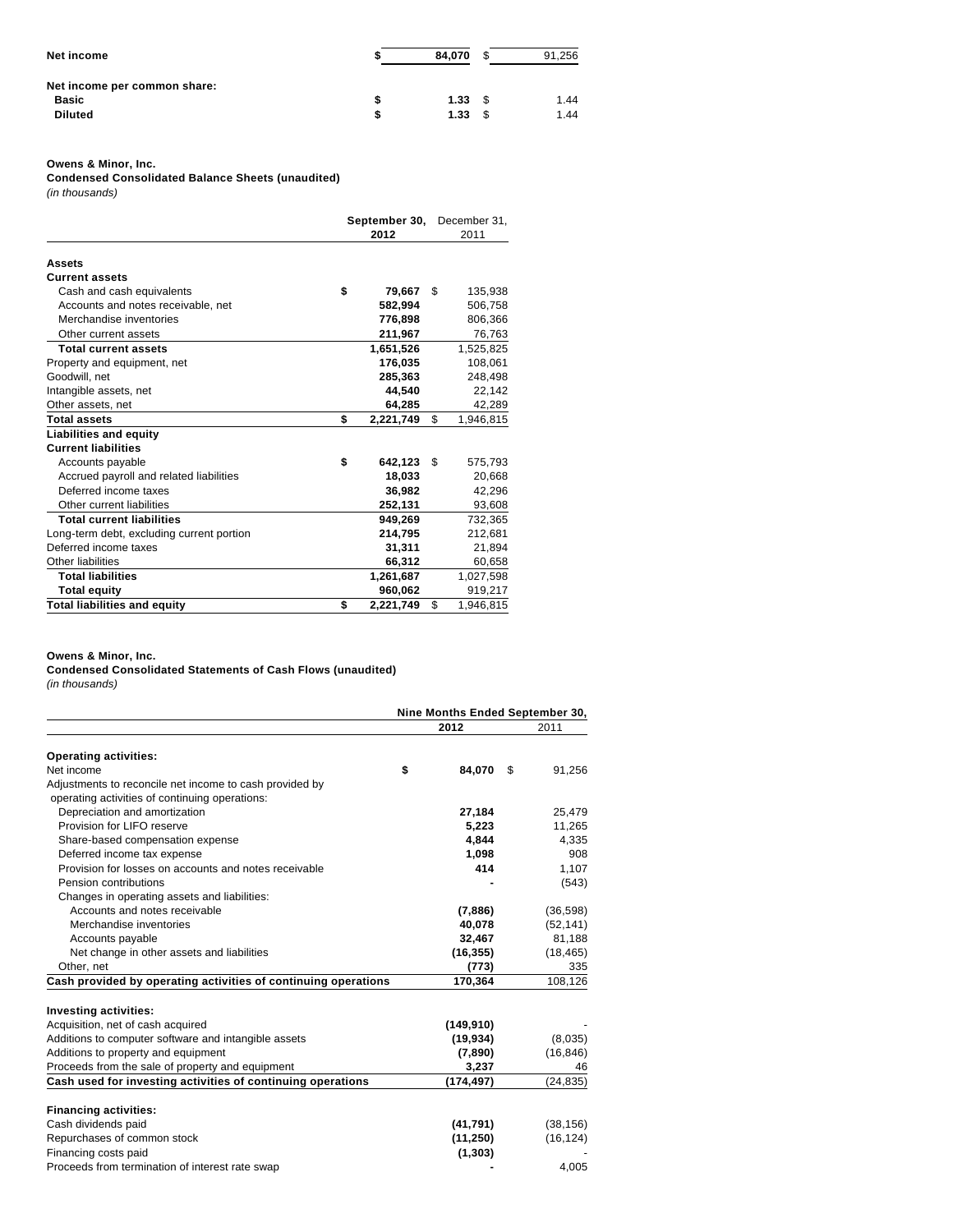| Net income                                                     |   | 84.070       |                   | 91.256       |
|----------------------------------------------------------------|---|--------------|-------------------|--------------|
| Net income per common share:<br><b>Basic</b><br><b>Diluted</b> | S | 1.33<br>1.33 | - \$<br><b>.s</b> | 1.44<br>1.44 |

## **Owens & Minor, Inc.**

**Condensed Consolidated Balance Sheets (unaudited)**

(in thousands)

|                                           | September 30, |           |    | December 31, |
|-------------------------------------------|---------------|-----------|----|--------------|
|                                           | 2012          |           |    | 2011         |
| Assets                                    |               |           |    |              |
| <b>Current assets</b>                     |               |           |    |              |
| Cash and cash equivalents                 | \$            | 79.667    | \$ | 135,938      |
| Accounts and notes receivable, net        |               | 582,994   |    | 506,758      |
| Merchandise inventories                   |               | 776,898   |    | 806,366      |
| Other current assets                      |               | 211,967   |    | 76,763       |
| <b>Total current assets</b>               |               | 1,651,526 |    | 1,525,825    |
| Property and equipment, net               |               | 176.035   |    | 108,061      |
| Goodwill, net                             |               | 285.363   |    | 248,498      |
| Intangible assets, net                    |               | 44.540    |    | 22,142       |
| Other assets, net                         |               | 64,285    |    | 42,289       |
| <b>Total assets</b>                       | \$            | 2,221,749 | \$ | 1,946,815    |
| <b>Liabilities and equity</b>             |               |           |    |              |
| <b>Current liabilities</b>                |               |           |    |              |
| Accounts payable                          | \$            | 642,123   | \$ | 575,793      |
| Accrued payroll and related liabilities   |               | 18.033    |    | 20,668       |
| Deferred income taxes                     |               | 36,982    |    | 42,296       |
| Other current liabilities                 |               | 252,131   |    | 93,608       |
| <b>Total current liabilities</b>          |               | 949,269   |    | 732,365      |
| Long-term debt, excluding current portion |               | 214,795   |    | 212,681      |
| Deferred income taxes                     |               | 31,311    |    | 21,894       |
| Other liabilities                         |               | 66,312    |    | 60,658       |
| <b>Total liabilities</b>                  |               | 1,261,687 |    | 1,027,598    |
| <b>Total equity</b>                       |               | 960.062   |    | 919,217      |
| <b>Total liabilities and equity</b>       | \$            | 2,221,749 | \$ | 1,946,815    |

## **Owens & Minor, Inc.**

# **Condensed Consolidated Statements of Cash Flows (unaudited)**

(in thousands)

|                                                                | Nine Months Ended September 30, |            |      |           |  |
|----------------------------------------------------------------|---------------------------------|------------|------|-----------|--|
|                                                                |                                 | 2012       | 2011 |           |  |
| <b>Operating activities:</b>                                   |                                 |            |      |           |  |
| Net income                                                     | \$                              | 84.070     | \$   | 91,256    |  |
| Adjustments to reconcile net income to cash provided by        |                                 |            |      |           |  |
| operating activities of continuing operations:                 |                                 |            |      |           |  |
| Depreciation and amortization                                  |                                 | 27,184     |      | 25,479    |  |
| Provision for LIFO reserve                                     |                                 | 5,223      |      | 11,265    |  |
| Share-based compensation expense                               |                                 | 4,844      |      | 4,335     |  |
| Deferred income tax expense                                    |                                 | 1,098      |      | 908       |  |
| Provision for losses on accounts and notes receivable          |                                 | 414        |      | 1,107     |  |
| Pension contributions                                          |                                 |            |      | (543)     |  |
| Changes in operating assets and liabilities:                   |                                 |            |      |           |  |
| Accounts and notes receivable                                  |                                 | (7,886)    |      | (36, 598) |  |
| Merchandise inventories                                        |                                 | 40,078     |      | (52, 141) |  |
| Accounts payable                                               |                                 | 32,467     |      | 81,188    |  |
| Net change in other assets and liabilities                     |                                 | (16, 355)  |      | (18, 465) |  |
| Other, net                                                     |                                 | (773)      |      | 335       |  |
| Cash provided by operating activities of continuing operations |                                 | 170,364    |      | 108,126   |  |
| Investing activities:                                          |                                 |            |      |           |  |
| Acquisition, net of cash acquired                              |                                 | (149, 910) |      |           |  |
| Additions to computer software and intangible assets           |                                 | (19, 934)  |      | (8,035)   |  |
| Additions to property and equipment                            |                                 | (7,890)    |      | (16, 846) |  |
| Proceeds from the sale of property and equipment               |                                 | 3,237      |      | 46        |  |
| Cash used for investing activities of continuing operations    |                                 | (174, 497) |      | (24, 835) |  |
| <b>Financing activities:</b>                                   |                                 |            |      |           |  |
| Cash dividends paid                                            |                                 | (41, 791)  |      | (38, 156) |  |
| Repurchases of common stock                                    |                                 | (11, 250)  |      | (16, 124) |  |
| Financing costs paid                                           |                                 | (1, 303)   |      |           |  |
| Proceeds from termination of interest rate swap                |                                 |            |      | 4,005     |  |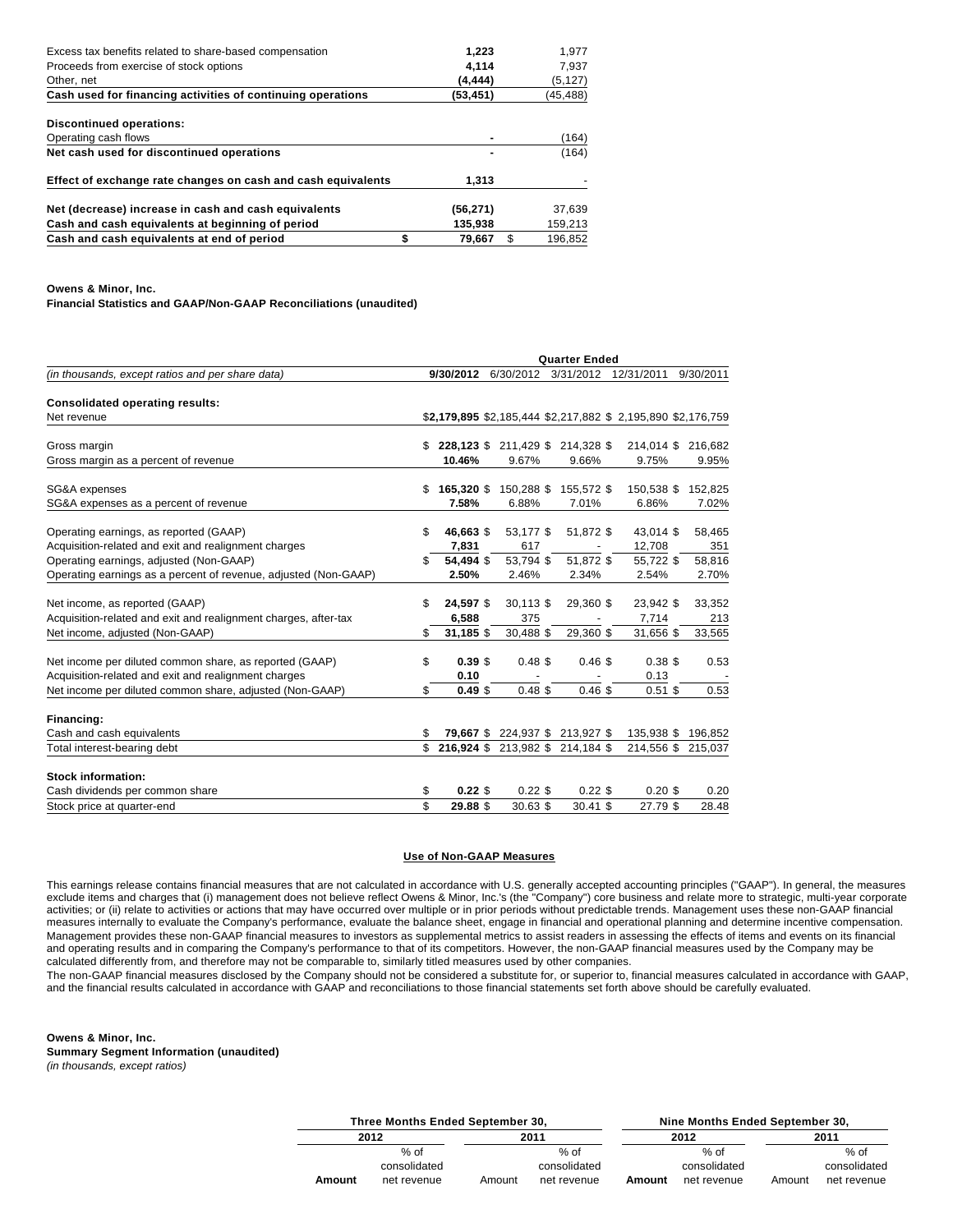| Excess tax benefits related to share-based compensation      | 1.223    |     | 1.977    |
|--------------------------------------------------------------|----------|-----|----------|
| Proceeds from exercise of stock options                      | 4.114    |     | 7.937    |
| Other, net                                                   | (4, 444) |     | (5, 127) |
| Cash used for financing activities of continuing operations  | (53,451) |     | (45,488) |
|                                                              |          |     |          |
| <b>Discontinued operations:</b>                              |          |     |          |
| Operating cash flows                                         |          |     | (164)    |
| Net cash used for discontinued operations                    |          |     | (164)    |
| Effect of exchange rate changes on cash and cash equivalents | 1.313    |     |          |
| Net (decrease) increase in cash and cash equivalents         | (56,271) |     | 37,639   |
| Cash and cash equivalents at beginning of period             | 135,938  |     | 159,213  |
| Cash and cash equivalents at end of period                   | 79.667   | \$. | 196.852  |

**Owens & Minor, Inc.**

**Financial Statistics and GAAP/Non-GAAP Reconciliations (unaudited)**

|                                                                 | <b>Quarter Ended</b> |            |            |                                  |                                                             |           |  |  |  |
|-----------------------------------------------------------------|----------------------|------------|------------|----------------------------------|-------------------------------------------------------------|-----------|--|--|--|
| (in thousands, except ratios and per share data)                |                      | 9/30/2012  | 6/30/2012  | 3/31/2012                        | 12/31/2011                                                  | 9/30/2011 |  |  |  |
| <b>Consolidated operating results:</b>                          |                      |            |            |                                  |                                                             |           |  |  |  |
| Net revenue                                                     |                      |            |            |                                  | \$2,179,895 \$2,185,444 \$2,217,882 \$2,195,890 \$2,176,759 |           |  |  |  |
| Gross margin                                                    |                      |            |            | 228,123 \$ 211,429 \$ 214,328 \$ | 214,014 \$                                                  | 216,682   |  |  |  |
| Gross margin as a percent of revenue                            |                      | 10.46%     | 9.67%      | 9.66%                            | 9.75%                                                       | 9.95%     |  |  |  |
| SG&A expenses                                                   | \$                   | 165,320 \$ | 150,288 \$ | 155,572 \$                       | 150,538 \$                                                  | 152,825   |  |  |  |
| SG&A expenses as a percent of revenue                           |                      | 7.58%      | 6.88%      | 7.01%                            | 6.86%                                                       | 7.02%     |  |  |  |
| Operating earnings, as reported (GAAP)                          | \$                   | 46,663 \$  | 53,177 \$  | 51,872 \$                        | 43,014 \$                                                   | 58,465    |  |  |  |
| Acquisition-related and exit and realignment charges            |                      | 7,831      | 617        |                                  | 12,708                                                      | 351       |  |  |  |
| Operating earnings, adjusted (Non-GAAP)                         |                      | 54,494 \$  | 53,794 \$  | 51,872 \$                        | 55,722\$                                                    | 58,816    |  |  |  |
| Operating earnings as a percent of revenue, adjusted (Non-GAAP) |                      | 2.50%      | 2.46%      | 2.34%                            | 2.54%                                                       | 2.70%     |  |  |  |
| Net income, as reported (GAAP)                                  | S                    | 24,597 \$  | 30,113 \$  | 29,360 \$                        | 23,942 \$                                                   | 33,352    |  |  |  |
| Acquisition-related and exit and realignment charges, after-tax |                      | 6,588      | 375        |                                  | 7,714                                                       | 213       |  |  |  |
| Net income, adjusted (Non-GAAP)                                 | \$                   | 31,185 \$  | 30,488 \$  | 29,360 \$                        | 31,656 \$                                                   | 33,565    |  |  |  |
| Net income per diluted common share, as reported (GAAP)         | \$                   | 0.39S      | 0.48S      | $0.46$ \$                        | $0.38$ \$                                                   | 0.53      |  |  |  |
| Acquisition-related and exit and realignment charges            |                      | 0.10       |            |                                  | 0.13                                                        |           |  |  |  |
| Net income per diluted common share, adjusted (Non-GAAP)        | S                    | $0.49$ \$  | $0.48$ \$  | $0.46$ \$                        | $0.51$ \$                                                   | 0.53      |  |  |  |
| Financing:                                                      |                      |            |            |                                  |                                                             |           |  |  |  |
| Cash and cash equivalents                                       | \$                   |            |            | 79,667 \$ 224,937 \$ 213,927 \$  | 135,938 \$                                                  | 196,852   |  |  |  |
| Total interest-bearing debt                                     | \$                   |            |            | 216,924 \$ 213,982 \$ 214,184 \$ | 214,556 \$                                                  | 215,037   |  |  |  |
| <b>Stock information:</b>                                       |                      |            |            |                                  |                                                             |           |  |  |  |
| Cash dividends per common share                                 | \$                   | $0.22$ \$  | $0.22$ \$  | $0.22$ \$                        | $0.20$ \$                                                   | 0.20      |  |  |  |
| Stock price at quarter-end                                      | \$                   | 29.88 \$   | $30.63$ \$ | 30.41 \$                         | 27.79 \$                                                    | 28.48     |  |  |  |

#### **Use of Non-GAAP Measures**

This earnings release contains financial measures that are not calculated in accordance with U.S. generally accepted accounting principles ("GAAP"). In general, the measures exclude items and charges that (i) management does not believe reflect Owens & Minor, Inc.'s (the "Company") core business and relate more to strategic, multi-year corporate activities; or (ii) relate to activities or actions that may have occurred over multiple or in prior periods without predictable trends. Management uses these non-GAAP financial measures internally to evaluate the Company's performance, evaluate the balance sheet, engage in financial and operational planning and determine incentive compensation. Management provides these non-GAAP financial measures to investors as supplemental metrics to assist readers in assessing the effects of items and events on its financial and operating results and in comparing the Company's performance to that of its competitors. However, the non-GAAP financial measures used by the Company may be calculated differently from, and therefore may not be comparable to, similarly titled measures used by other companies.

The non-GAAP financial measures disclosed by the Company should not be considered a substitute for, or superior to, financial measures calculated in accordance with GAAP, and the financial results calculated in accordance with GAAP and reconciliations to those financial statements set forth above should be carefully evaluated.

## **Owens & Minor, Inc.**

**Summary Segment Information (unaudited)** (in thousands, except ratios)

|        | Three Months Ended September 30, | Nine Months Ended September 30, |              |        |              |        |              |
|--------|----------------------------------|---------------------------------|--------------|--------|--------------|--------|--------------|
|        | 2012                             |                                 | 2011         |        | 2012         |        | 2011         |
|        | $%$ of                           |                                 | $%$ of       |        | $%$ of       |        | $%$ of       |
|        | consolidated                     |                                 | consolidated |        | consolidated |        | consolidated |
| Amount | net revenue                      | Amount                          | net revenue  | Amount | net revenue  | Amount | net revenue  |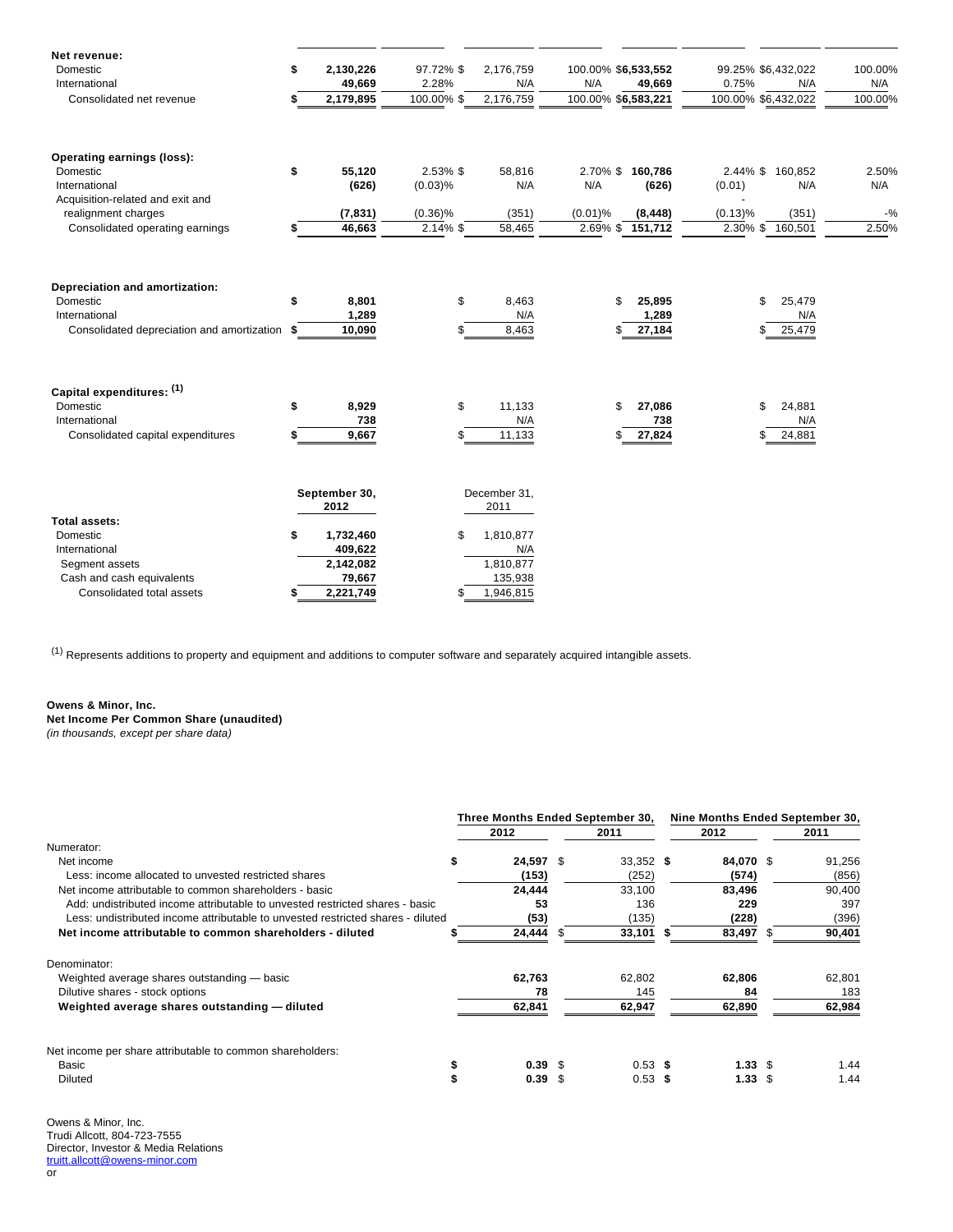| Net revenue:<br>Domestic<br>International<br>Consolidated net revenue | S  | 2,130,226<br>49,669<br>2,179,895 | 97.72% \$<br>2.28%<br>100.00% \$ | 2,176,759<br>N/A<br>2,176,759 | 100.00% \$6,533,552<br>N/A<br>100.00% \$6,583,221 | 49,669              | 99.25% \$6,432,022<br>0.75%<br>100.00% \$6,432,022 | N/A           | 100.00%<br>N/A<br>100.00% |
|-----------------------------------------------------------------------|----|----------------------------------|----------------------------------|-------------------------------|---------------------------------------------------|---------------------|----------------------------------------------------|---------------|---------------------------|
| Operating earnings (loss):<br>Domestic                                | \$ | 55,120                           | 2.53% \$                         | 58,816                        | 2.70% \$                                          | 160,786             | 2.44% \$160,852                                    |               | 2.50%                     |
| International<br>Acquisition-related and exit and                     |    | (626)                            | (0.03)%                          | N/A                           | N/A                                               | (626)               | (0.01)                                             | N/A           | N/A                       |
| realignment charges<br>Consolidated operating earnings                |    | (7, 831)<br>46,663               | $(0.36)\%$<br>$2.14\%$ \$        | (351)<br>58,465               | $(0.01)\%$<br>$2.69\%$ \$                         | (8, 448)<br>151,712 | (0.13)%<br>2.30% \$ 160,501                        | (351)         | $-$ %<br>2.50%            |
| Depreciation and amortization:                                        |    |                                  |                                  |                               |                                                   |                     |                                                    |               |                           |
| Domestic<br>International                                             | \$ | 8,801<br>1,289                   | \$                               | 8,463<br>N/A                  | \$                                                | 25,895<br>1,289     | \$                                                 | 25,479<br>N/A |                           |
| Consolidated depreciation and amortization \$                         |    | 10,090                           | \$                               | 8,463                         |                                                   | 27,184              | \$                                                 | 25,479        |                           |
| Capital expenditures: (1)                                             |    |                                  |                                  |                               |                                                   |                     |                                                    |               |                           |
| Domestic<br>International                                             | \$ | 8,929<br>738                     | \$                               | 11,133<br>N/A                 | \$                                                | 27,086<br>738       | \$                                                 | 24,881<br>N/A |                           |
| Consolidated capital expenditures                                     |    | 9,667                            | \$                               | 11,133                        |                                                   | 27,824              | \$                                                 | 24,881        |                           |
|                                                                       |    | September 30,<br>2012            |                                  | December 31,<br>2011          |                                                   |                     |                                                    |               |                           |
| Total assets:                                                         |    |                                  |                                  |                               |                                                   |                     |                                                    |               |                           |
| Domestic                                                              | \$ | 1,732,460                        | \$                               | 1,810,877                     |                                                   |                     |                                                    |               |                           |
| International                                                         |    | 409,622                          |                                  | N/A                           |                                                   |                     |                                                    |               |                           |
| Segment assets<br>Cash and cash equivalents                           |    | 2,142,082<br>79,667              |                                  | 1,810,877<br>135,938          |                                                   |                     |                                                    |               |                           |
| Consolidated total assets                                             |    | 2,221,749                        | \$                               | 1,946,815                     |                                                   |                     |                                                    |               |                           |

 $(1)$  Represents additions to property and equipment and additions to computer software and separately acquired intangible assets.

# **Owens & Minor, Inc.**

**Net Income Per Common Share (unaudited)**

(in thousands, except per share data)

|                                                                                 | Three Months Ended September 30, |  |             | Nine Months Ended September 30, |                   |   |        |
|---------------------------------------------------------------------------------|----------------------------------|--|-------------|---------------------------------|-------------------|---|--------|
|                                                                                 | 2012                             |  | 2011        |                                 | 2012              |   | 2011   |
| Numerator:                                                                      |                                  |  |             |                                 |                   |   |        |
| Net income                                                                      | 24,597 \$                        |  | $33,352$ \$ |                                 | 84,070 \$         |   | 91,256 |
| Less: income allocated to unvested restricted shares                            | (153)                            |  | (252)       |                                 | (574)             |   | (856)  |
| Net income attributable to common shareholders - basic                          | 24.444                           |  | 33,100      |                                 | 83,496            |   | 90,400 |
| Add: undistributed income attributable to unvested restricted shares - basic    | 53                               |  | 136         |                                 | 229               |   | 397    |
| Less: undistributed income attributable to unvested restricted shares - diluted | (53)                             |  | (135)       |                                 | (228)             |   | (396)  |
| Net income attributable to common shareholders - diluted                        | 24,444                           |  | $33,101$ \$ |                                 | 83,497            | S | 90,401 |
| Denominator:                                                                    |                                  |  |             |                                 |                   |   |        |
| Weighted average shares outstanding — basic                                     | 62,763                           |  | 62,802      |                                 | 62,806            |   | 62,801 |
| Dilutive shares - stock options                                                 | 78                               |  | 145         |                                 | 84                |   | 183    |
| Weighted average shares outstanding - diluted                                   | 62,841                           |  | 62,947      |                                 | 62,890            |   | 62,984 |
| Net income per share attributable to common shareholders:                       |                                  |  |             |                                 |                   |   |        |
| Basic                                                                           | 0.39 <sup>5</sup>                |  | $0.53$ \$   |                                 | 1.33 <sup>5</sup> |   | 1.44   |
| <b>Diluted</b>                                                                  | 0.39                             |  | $0.53$ \$   |                                 | 1.33 <sup>5</sup> |   | 1.44   |

Owens & Minor, Inc. Trudi Allcott, 804-723-7555 Director, Investor & Media Relations [truitt.allcott@owens-minor.com](mailto:truitt.allcott@owens-minor.com) or